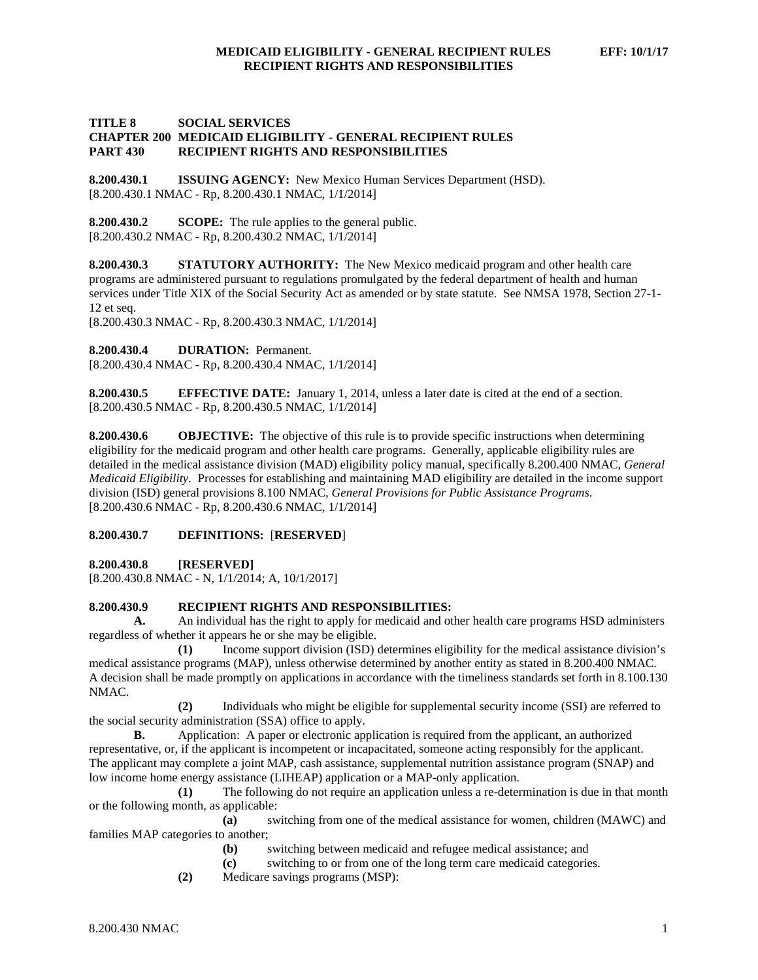# **TITLE 8 SOCIAL SERVICES CHAPTER 200 MEDICAID ELIGIBILITY - GENERAL RECIPIENT RULES PART 430 RECIPIENT RIGHTS AND RESPONSIBILITIES**

**8.200.430.1 ISSUING AGENCY:** New Mexico Human Services Department (HSD). [8.200.430.1 NMAC - Rp, 8.200.430.1 NMAC, 1/1/2014]

**8.200.430.2 SCOPE:** The rule applies to the general public. [8.200.430.2 NMAC - Rp, 8.200.430.2 NMAC, 1/1/2014]

**8.200.430.3 STATUTORY AUTHORITY:** The New Mexico medicaid program and other health care programs are administered pursuant to regulations promulgated by the federal department of health and human services under Title XIX of the Social Security Act as amended or by state statute. See NMSA 1978, Section 27-1- 12 et seq.

[8.200.430.3 NMAC - Rp, 8.200.430.3 NMAC, 1/1/2014]

**8.200.430.4 DURATION:** Permanent.

[8.200.430.4 NMAC - Rp, 8.200.430.4 NMAC, 1/1/2014]

**8.200.430.5 EFFECTIVE DATE:** January 1, 2014, unless a later date is cited at the end of a section. [8.200.430.5 NMAC - Rp, 8.200.430.5 NMAC, 1/1/2014]

**8.200.430.6 OBJECTIVE:** The objective of this rule is to provide specific instructions when determining eligibility for the medicaid program and other health care programs. Generally, applicable eligibility rules are detailed in the medical assistance division (MAD) eligibility policy manual, specifically 8.200.400 NMAC, *General Medicaid Eligibility*. Processes for establishing and maintaining MAD eligibility are detailed in the income support division (ISD) general provisions 8.100 NMAC, *General Provisions for Public Assistance Programs*. [8.200.430.6 NMAC - Rp, 8.200.430.6 NMAC, 1/1/2014]

## **8.200.430.7 DEFINITIONS:** [**RESERVED**]

**8.200.430.8 [RESERVED]**

[8.200.430.8 NMAC - N, 1/1/2014; A, 10/1/2017]

# **8.200.430.9 RECIPIENT RIGHTS AND RESPONSIBILITIES:**

**A.** An individual has the right to apply for medicaid and other health care programs HSD administers regardless of whether it appears he or she may be eligible.

**(1)** Income support division (ISD) determines eligibility for the medical assistance division's medical assistance programs (MAP), unless otherwise determined by another entity as stated in 8.200.400 NMAC. A decision shall be made promptly on applications in accordance with the timeliness standards set forth in 8.100.130 NMAC.

**(2)** Individuals who might be eligible for supplemental security income (SSI) are referred to the social security administration (SSA) office to apply.

**B.** Application: A paper or electronic application is required from the applicant, an authorized representative, or, if the applicant is incompetent or incapacitated, someone acting responsibly for the applicant. The applicant may complete a joint MAP, cash assistance, supplemental nutrition assistance program (SNAP) and low income home energy assistance (LIHEAP) application or a MAP-only application.

**(1)** The following do not require an application unless a re-determination is due in that month or the following month, as applicable:

**(a)** switching from one of the medical assistance for women, children (MAWC) and families MAP categories to another;

**(b)** switching between medicaid and refugee medical assistance; and

- **(c)** switching to or from one of the long term care medicaid categories.
- **(2)** Medicare savings programs (MSP):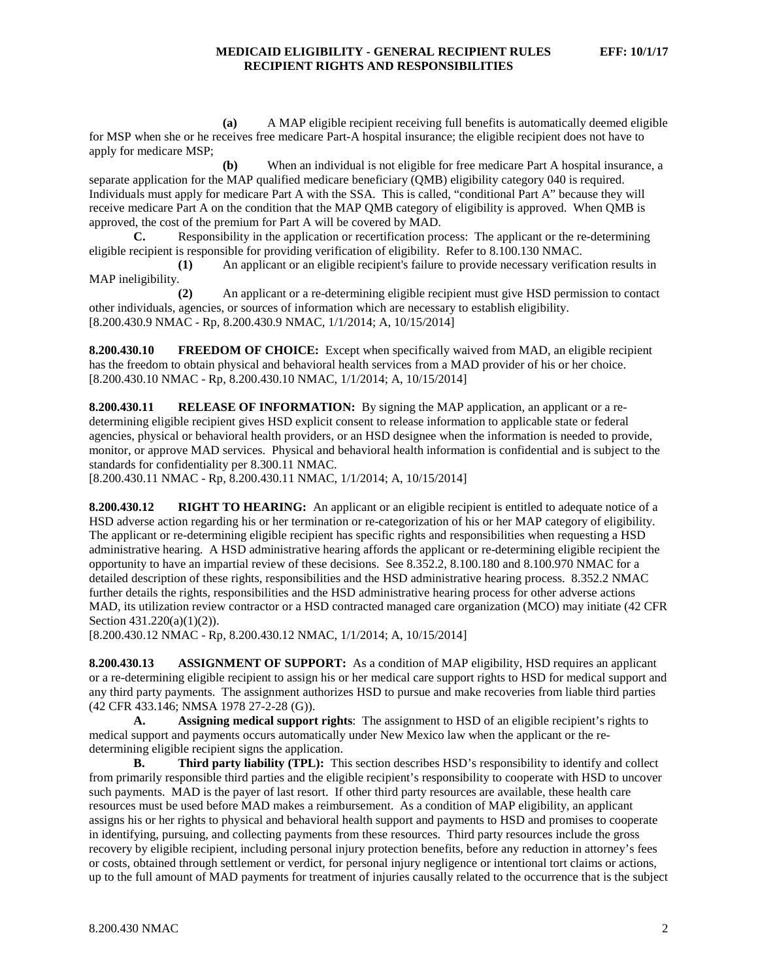**(a)** A MAP eligible recipient receiving full benefits is automatically deemed eligible for MSP when she or he receives free medicare Part-A hospital insurance; the eligible recipient does not have to apply for medicare MSP;

**(b)** When an individual is not eligible for free medicare Part A hospital insurance, a separate application for the MAP qualified medicare beneficiary (QMB) eligibility category 040 is required. Individuals must apply for medicare Part A with the SSA. This is called, "conditional Part A" because they will receive medicare Part A on the condition that the MAP QMB category of eligibility is approved. When QMB is approved, the cost of the premium for Part A will be covered by MAD.

**C.** Responsibility in the application or recertification process: The applicant or the re-determining eligible recipient is responsible for providing verification of eligibility. Refer to 8.100.130 NMAC.

**(1)** An applicant or an eligible recipient's failure to provide necessary verification results in MAP ineligibility.

**(2)** An applicant or a re-determining eligible recipient must give HSD permission to contact other individuals, agencies, or sources of information which are necessary to establish eligibility. [8.200.430.9 NMAC - Rp, 8.200.430.9 NMAC, 1/1/2014; A, 10/15/2014]

**8.200.430.10 FREEDOM OF CHOICE:** Except when specifically waived from MAD, an eligible recipient has the freedom to obtain physical and behavioral health services from a MAD provider of his or her choice. [8.200.430.10 NMAC - Rp, 8.200.430.10 NMAC, 1/1/2014; A, 10/15/2014]

**8.200.430.11 RELEASE OF INFORMATION:** By signing the MAP application, an applicant or a redetermining eligible recipient gives HSD explicit consent to release information to applicable state or federal agencies, physical or behavioral health providers, or an HSD designee when the information is needed to provide, monitor, or approve MAD services. Physical and behavioral health information is confidential and is subject to the standards for confidentiality per 8.300.11 NMAC.

[8.200.430.11 NMAC - Rp, 8.200.430.11 NMAC, 1/1/2014; A, 10/15/2014]

**8.200.430.12 RIGHT TO HEARING:** An applicant or an eligible recipient is entitled to adequate notice of a HSD adverse action regarding his or her termination or re-categorization of his or her MAP category of eligibility. The applicant or re-determining eligible recipient has specific rights and responsibilities when requesting a HSD administrative hearing. A HSD administrative hearing affords the applicant or re-determining eligible recipient the opportunity to have an impartial review of these decisions. See 8.352.2, 8.100.180 and 8.100.970 NMAC for a detailed description of these rights, responsibilities and the HSD administrative hearing process. 8.352.2 NMAC further details the rights, responsibilities and the HSD administrative hearing process for other adverse actions MAD, its utilization review contractor or a HSD contracted managed care organization (MCO) may initiate (42 CFR Section 431.220(a)(1)(2)).

[8.200.430.12 NMAC - Rp, 8.200.430.12 NMAC, 1/1/2014; A, 10/15/2014]

**8.200.430.13 ASSIGNMENT OF SUPPORT:** As a condition of MAP eligibility, HSD requires an applicant or a re-determining eligible recipient to assign his or her medical care support rights to HSD for medical support and any third party payments. The assignment authorizes HSD to pursue and make recoveries from liable third parties (42 CFR 433.146; NMSA 1978 27-2-28 (G)).

**A. Assigning medical support rights**: The assignment to HSD of an eligible recipient's rights to medical support and payments occurs automatically under New Mexico law when the applicant or the redetermining eligible recipient signs the application.

**B. Third party liability (TPL):** This section describes HSD's responsibility to identify and collect from primarily responsible third parties and the eligible recipient's responsibility to cooperate with HSD to uncover such payments. MAD is the payer of last resort. If other third party resources are available, these health care resources must be used before MAD makes a reimbursement. As a condition of MAP eligibility, an applicant assigns his or her rights to physical and behavioral health support and payments to HSD and promises to cooperate in identifying, pursuing, and collecting payments from these resources. Third party resources include the gross recovery by eligible recipient, including personal injury protection benefits, before any reduction in attorney's fees or costs, obtained through settlement or verdict, for personal injury negligence or intentional tort claims or actions, up to the full amount of MAD payments for treatment of injuries causally related to the occurrence that is the subject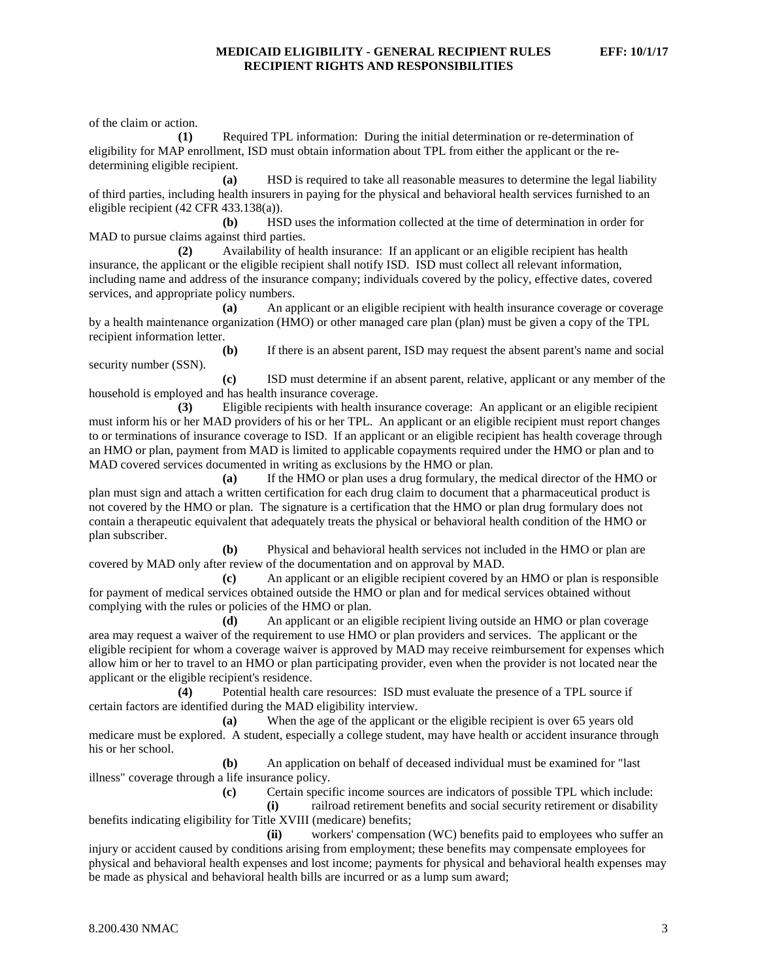of the claim or action.

**(1)** Required TPL information: During the initial determination or re-determination of eligibility for MAP enrollment, ISD must obtain information about TPL from either the applicant or the redetermining eligible recipient.

**(a)** HSD is required to take all reasonable measures to determine the legal liability of third parties, including health insurers in paying for the physical and behavioral health services furnished to an eligible recipient (42 CFR 433.138(a)).

**(b)** HSD uses the information collected at the time of determination in order for MAD to pursue claims against third parties.

**(2)** Availability of health insurance: If an applicant or an eligible recipient has health insurance, the applicant or the eligible recipient shall notify ISD. ISD must collect all relevant information, including name and address of the insurance company; individuals covered by the policy, effective dates, covered services, and appropriate policy numbers.

**(a)** An applicant or an eligible recipient with health insurance coverage or coverage by a health maintenance organization (HMO) or other managed care plan (plan) must be given a copy of the TPL recipient information letter.

**(b)** If there is an absent parent, ISD may request the absent parent's name and social security number (SSN).

**(c)** ISD must determine if an absent parent, relative, applicant or any member of the household is employed and has health insurance coverage.

**(3)** Eligible recipients with health insurance coverage: An applicant or an eligible recipient must inform his or her MAD providers of his or her TPL. An applicant or an eligible recipient must report changes to or terminations of insurance coverage to ISD. If an applicant or an eligible recipient has health coverage through an HMO or plan, payment from MAD is limited to applicable copayments required under the HMO or plan and to MAD covered services documented in writing as exclusions by the HMO or plan.

**(a)** If the HMO or plan uses a drug formulary, the medical director of the HMO or plan must sign and attach a written certification for each drug claim to document that a pharmaceutical product is not covered by the HMO or plan. The signature is a certification that the HMO or plan drug formulary does not contain a therapeutic equivalent that adequately treats the physical or behavioral health condition of the HMO or plan subscriber.

**(b)** Physical and behavioral health services not included in the HMO or plan are covered by MAD only after review of the documentation and on approval by MAD.

**(c)** An applicant or an eligible recipient covered by an HMO or plan is responsible for payment of medical services obtained outside the HMO or plan and for medical services obtained without complying with the rules or policies of the HMO or plan.

**(d)** An applicant or an eligible recipient living outside an HMO or plan coverage area may request a waiver of the requirement to use HMO or plan providers and services. The applicant or the eligible recipient for whom a coverage waiver is approved by MAD may receive reimbursement for expenses which allow him or her to travel to an HMO or plan participating provider, even when the provider is not located near the applicant or the eligible recipient's residence.

**(4)** Potential health care resources: ISD must evaluate the presence of a TPL source if certain factors are identified during the MAD eligibility interview.

**(a)** When the age of the applicant or the eligible recipient is over 65 years old medicare must be explored. A student, especially a college student, may have health or accident insurance through his or her school.

**(b)** An application on behalf of deceased individual must be examined for "last illness" coverage through a life insurance policy.

**(c)** Certain specific income sources are indicators of possible TPL which include:

**(i)** railroad retirement benefits and social security retirement or disability benefits indicating eligibility for Title XVIII (medicare) benefits;

**(ii)** workers' compensation (WC) benefits paid to employees who suffer an injury or accident caused by conditions arising from employment; these benefits may compensate employees for physical and behavioral health expenses and lost income; payments for physical and behavioral health expenses may be made as physical and behavioral health bills are incurred or as a lump sum award;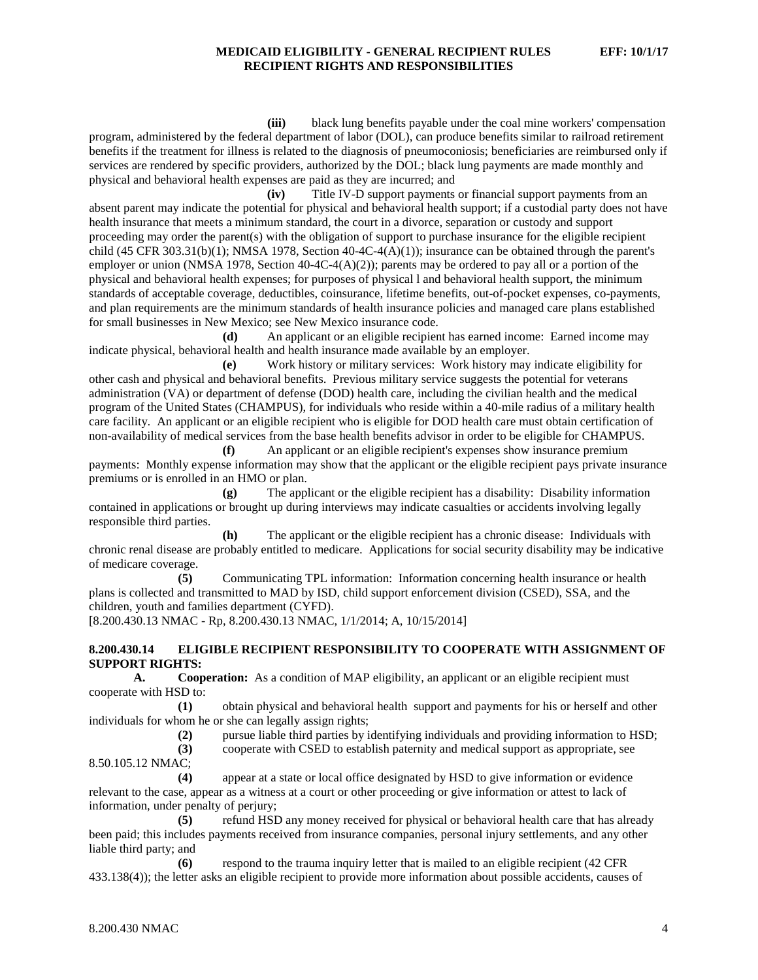**(iii)** black lung benefits payable under the coal mine workers' compensation program, administered by the federal department of labor (DOL), can produce benefits similar to railroad retirement benefits if the treatment for illness is related to the diagnosis of pneumoconiosis; beneficiaries are reimbursed only if services are rendered by specific providers, authorized by the DOL; black lung payments are made monthly and physical and behavioral health expenses are paid as they are incurred; and

**(iv)** Title IV-D support payments or financial support payments from an absent parent may indicate the potential for physical and behavioral health support; if a custodial party does not have health insurance that meets a minimum standard, the court in a divorce, separation or custody and support proceeding may order the parent(s) with the obligation of support to purchase insurance for the eligible recipient child (45 CFR 303.31(b)(1); NMSA 1978, Section 40-4C-4(A)(1)); insurance can be obtained through the parent's employer or union (NMSA 1978, Section 40-4C-4(A)(2)); parents may be ordered to pay all or a portion of the physical and behavioral health expenses; for purposes of physical l and behavioral health support, the minimum standards of acceptable coverage, deductibles, coinsurance, lifetime benefits, out-of-pocket expenses, co-payments, and plan requirements are the minimum standards of health insurance policies and managed care plans established for small businesses in New Mexico; see New Mexico insurance code.

**(d)** An applicant or an eligible recipient has earned income: Earned income may indicate physical, behavioral health and health insurance made available by an employer.

**(e)** Work history or military services: Work history may indicate eligibility for other cash and physical and behavioral benefits. Previous military service suggests the potential for veterans administration (VA) or department of defense (DOD) health care, including the civilian health and the medical program of the United States (CHAMPUS), for individuals who reside within a 40-mile radius of a military health care facility. An applicant or an eligible recipient who is eligible for DOD health care must obtain certification of non-availability of medical services from the base health benefits advisor in order to be eligible for CHAMPUS.

**(f)** An applicant or an eligible recipient's expenses show insurance premium payments: Monthly expense information may show that the applicant or the eligible recipient pays private insurance premiums or is enrolled in an HMO or plan.

**(g)** The applicant or the eligible recipient has a disability: Disability information contained in applications or brought up during interviews may indicate casualties or accidents involving legally responsible third parties.

**(h)** The applicant or the eligible recipient has a chronic disease: Individuals with chronic renal disease are probably entitled to medicare. Applications for social security disability may be indicative of medicare coverage.

**(5)** Communicating TPL information: Information concerning health insurance or health plans is collected and transmitted to MAD by ISD, child support enforcement division (CSED), SSA, and the children, youth and families department (CYFD).

[8.200.430.13 NMAC - Rp, 8.200.430.13 NMAC, 1/1/2014; A, 10/15/2014]

### **8.200.430.14 ELIGIBLE RECIPIENT RESPONSIBILITY TO COOPERATE WITH ASSIGNMENT OF SUPPORT RIGHTS:**

**A. Cooperation:** As a condition of MAP eligibility, an applicant or an eligible recipient must cooperate with HSD to:

**(1)** obtain physical and behavioral health support and payments for his or herself and other individuals for whom he or she can legally assign rights;

**(2)** pursue liable third parties by identifying individuals and providing information to HSD;

**(3)** cooperate with CSED to establish paternity and medical support as appropriate, see

8.50.105.12 NMAC;

**(4)** appear at a state or local office designated by HSD to give information or evidence relevant to the case, appear as a witness at a court or other proceeding or give information or attest to lack of information, under penalty of perjury;

**(5)** refund HSD any money received for physical or behavioral health care that has already been paid; this includes payments received from insurance companies, personal injury settlements, and any other liable third party; and

**(6)** respond to the trauma inquiry letter that is mailed to an eligible recipient (42 CFR 433.138(4)); the letter asks an eligible recipient to provide more information about possible accidents, causes of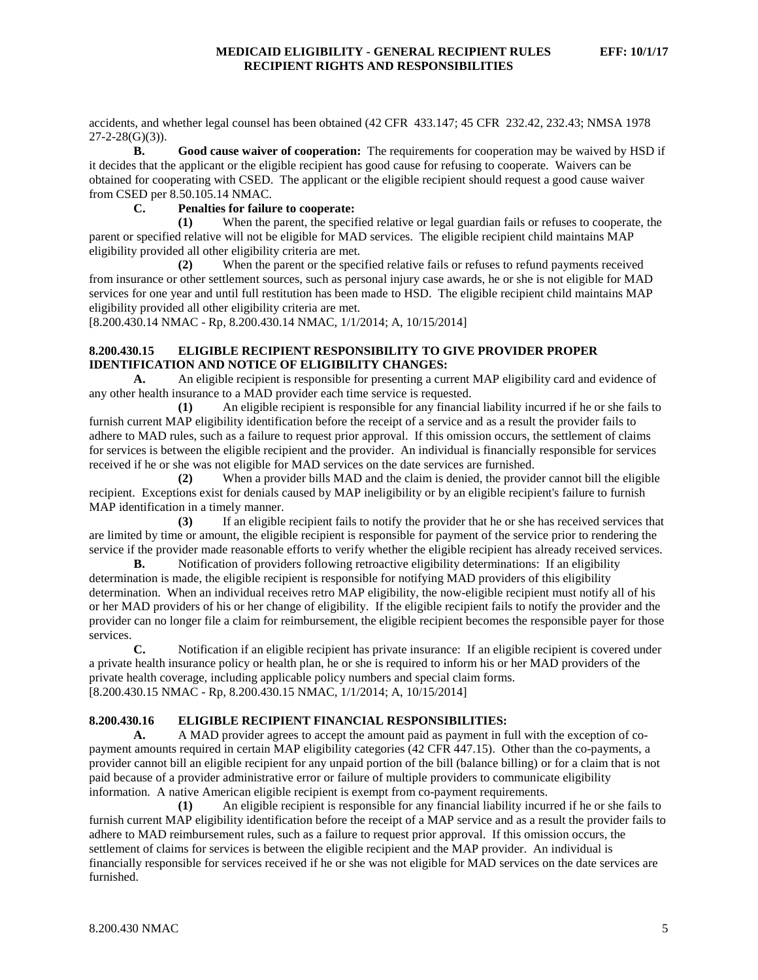accidents, and whether legal counsel has been obtained (42 CFR 433.147; 45 CFR 232.42, 232.43; NMSA 1978  $27-2-28(G)(3)$ ).<br>**B.** 

**B. Good cause waiver of cooperation:** The requirements for cooperation may be waived by HSD if it decides that the applicant or the eligible recipient has good cause for refusing to cooperate. Waivers can be obtained for cooperating with CSED. The applicant or the eligible recipient should request a good cause waiver from CSED per 8.50.105.14 NMAC.

# **C. Penalties for failure to cooperate:**

**(1)** When the parent, the specified relative or legal guardian fails or refuses to cooperate, the parent or specified relative will not be eligible for MAD services. The eligible recipient child maintains MAP eligibility provided all other eligibility criteria are met.

**(2)** When the parent or the specified relative fails or refuses to refund payments received from insurance or other settlement sources, such as personal injury case awards, he or she is not eligible for MAD services for one year and until full restitution has been made to HSD. The eligible recipient child maintains MAP eligibility provided all other eligibility criteria are met.

[8.200.430.14 NMAC - Rp, 8.200.430.14 NMAC, 1/1/2014; A, 10/15/2014]

## **8.200.430.15 ELIGIBLE RECIPIENT RESPONSIBILITY TO GIVE PROVIDER PROPER IDENTIFICATION AND NOTICE OF ELIGIBILITY CHANGES:**

**A.** An eligible recipient is responsible for presenting a current MAP eligibility card and evidence of any other health insurance to a MAD provider each time service is requested.

**(1)** An eligible recipient is responsible for any financial liability incurred if he or she fails to furnish current MAP eligibility identification before the receipt of a service and as a result the provider fails to adhere to MAD rules, such as a failure to request prior approval. If this omission occurs, the settlement of claims for services is between the eligible recipient and the provider. An individual is financially responsible for services received if he or she was not eligible for MAD services on the date services are furnished.

**(2)** When a provider bills MAD and the claim is denied, the provider cannot bill the eligible recipient. Exceptions exist for denials caused by MAP ineligibility or by an eligible recipient's failure to furnish MAP identification in a timely manner.

**(3)** If an eligible recipient fails to notify the provider that he or she has received services that are limited by time or amount, the eligible recipient is responsible for payment of the service prior to rendering the service if the provider made reasonable efforts to verify whether the eligible recipient has already received services.

**B.** Notification of providers following retroactive eligibility determinations: If an eligibility determination is made, the eligible recipient is responsible for notifying MAD providers of this eligibility determination. When an individual receives retro MAP eligibility, the now-eligible recipient must notify all of his or her MAD providers of his or her change of eligibility. If the eligible recipient fails to notify the provider and the provider can no longer file a claim for reimbursement, the eligible recipient becomes the responsible payer for those services.

**C.** Notification if an eligible recipient has private insurance: If an eligible recipient is covered under a private health insurance policy or health plan, he or she is required to inform his or her MAD providers of the private health coverage, including applicable policy numbers and special claim forms. [8.200.430.15 NMAC - Rp, 8.200.430.15 NMAC, 1/1/2014; A, 10/15/2014]

### **8.200.430.16 ELIGIBLE RECIPIENT FINANCIAL RESPONSIBILITIES:**

**A.** A MAD provider agrees to accept the amount paid as payment in full with the exception of copayment amounts required in certain MAP eligibility categories (42 CFR 447.15). Other than the co-payments, a provider cannot bill an eligible recipient for any unpaid portion of the bill (balance billing) or for a claim that is not paid because of a provider administrative error or failure of multiple providers to communicate eligibility information. A native American eligible recipient is exempt from co-payment requirements.

**(1)** An eligible recipient is responsible for any financial liability incurred if he or she fails to furnish current MAP eligibility identification before the receipt of a MAP service and as a result the provider fails to adhere to MAD reimbursement rules, such as a failure to request prior approval. If this omission occurs, the settlement of claims for services is between the eligible recipient and the MAP provider. An individual is financially responsible for services received if he or she was not eligible for MAD services on the date services are furnished.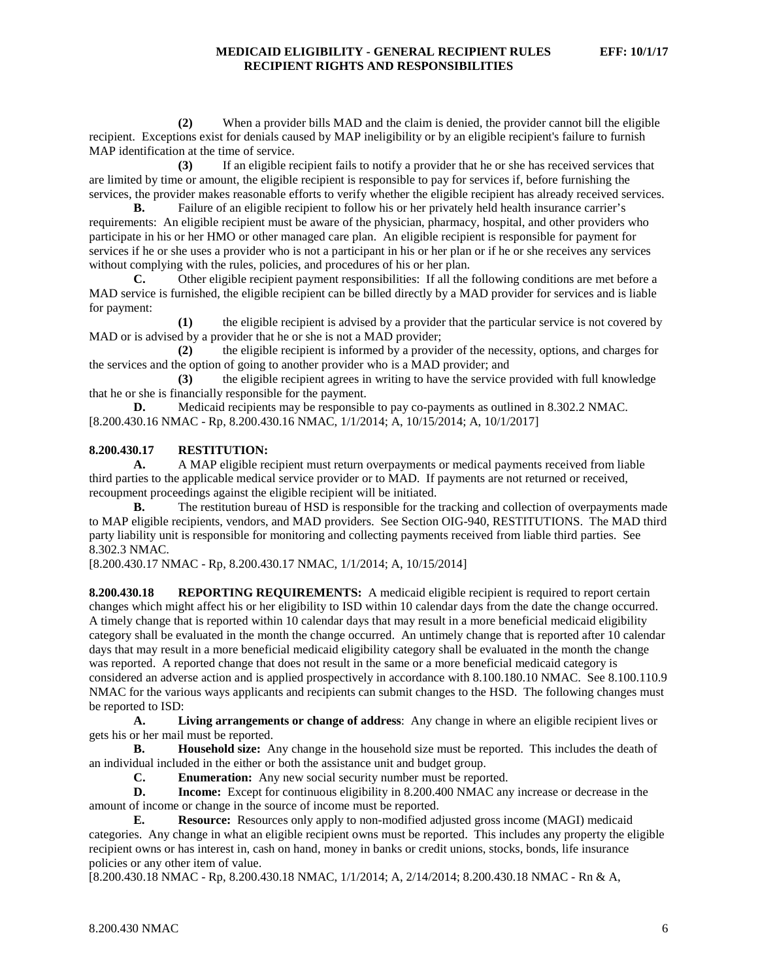**(2)** When a provider bills MAD and the claim is denied, the provider cannot bill the eligible recipient. Exceptions exist for denials caused by MAP ineligibility or by an eligible recipient's failure to furnish MAP identification at the time of service.

**(3)** If an eligible recipient fails to notify a provider that he or she has received services that are limited by time or amount, the eligible recipient is responsible to pay for services if, before furnishing the services, the provider makes reasonable efforts to verify whether the eligible recipient has already received services.

**B.** Failure of an eligible recipient to follow his or her privately held health insurance carrier's requirements: An eligible recipient must be aware of the physician, pharmacy, hospital, and other providers who participate in his or her HMO or other managed care plan. An eligible recipient is responsible for payment for services if he or she uses a provider who is not a participant in his or her plan or if he or she receives any services without complying with the rules, policies, and procedures of his or her plan.<br>
C. Other eligible recipient payment responsibilities: If all the

Other eligible recipient payment responsibilities: If all the following conditions are met before a MAD service is furnished, the eligible recipient can be billed directly by a MAD provider for services and is liable for payment:

**(1)** the eligible recipient is advised by a provider that the particular service is not covered by MAD or is advised by a provider that he or she is not a MAD provider;

**(2)** the eligible recipient is informed by a provider of the necessity, options, and charges for the services and the option of going to another provider who is a MAD provider; and

**(3)** the eligible recipient agrees in writing to have the service provided with full knowledge that he or she is financially responsible for the payment.

**D.** Medicaid recipients may be responsible to pay co-payments as outlined in 8.302.2 NMAC. [8.200.430.16 NMAC - Rp, 8.200.430.16 NMAC, 1/1/2014; A, 10/15/2014; A, 10/1/2017]

## **8.200.430.17 RESTITUTION:**

**A.** A MAP eligible recipient must return overpayments or medical payments received from liable third parties to the applicable medical service provider or to MAD. If payments are not returned or received, recoupment proceedings against the eligible recipient will be initiated.

**B.** The restitution bureau of HSD is responsible for the tracking and collection of overpayments made to MAP eligible recipients, vendors, and MAD providers. See Section OIG-940, RESTITUTIONS. The MAD third party liability unit is responsible for monitoring and collecting payments received from liable third parties. See 8.302.3 NMAC.

[8.200.430.17 NMAC - Rp, 8.200.430.17 NMAC, 1/1/2014; A, 10/15/2014]

**8.200.430.18 REPORTING REQUIREMENTS:** A medicaid eligible recipient is required to report certain changes which might affect his or her eligibility to ISD within 10 calendar days from the date the change occurred. A timely change that is reported within 10 calendar days that may result in a more beneficial medicaid eligibility category shall be evaluated in the month the change occurred. An untimely change that is reported after 10 calendar days that may result in a more beneficial medicaid eligibility category shall be evaluated in the month the change was reported. A reported change that does not result in the same or a more beneficial medicaid category is considered an adverse action and is applied prospectively in accordance with 8.100.180.10 NMAC. See 8.100.110.9 NMAC for the various ways applicants and recipients can submit changes to the HSD. The following changes must be reported to ISD:

**A. Living arrangements or change of address**: Any change in where an eligible recipient lives or gets his or her mail must be reported.

**B. Household size:** Any change in the household size must be reported. This includes the death of an individual included in the either or both the assistance unit and budget group.

**C. Enumeration:** Any new social security number must be reported.

**D. Income:** Except for continuous eligibility in 8.200.400 NMAC any increase or decrease in the amount of income or change in the source of income must be reported.

**E. Resource:** Resources only apply to non-modified adjusted gross income (MAGI) medicaid categories. Any change in what an eligible recipient owns must be reported. This includes any property the eligible recipient owns or has interest in, cash on hand, money in banks or credit unions, stocks, bonds, life insurance policies or any other item of value.

[8.200.430.18 NMAC - Rp, 8.200.430.18 NMAC, 1/1/2014; A, 2/14/2014; 8.200.430.18 NMAC - Rn & A,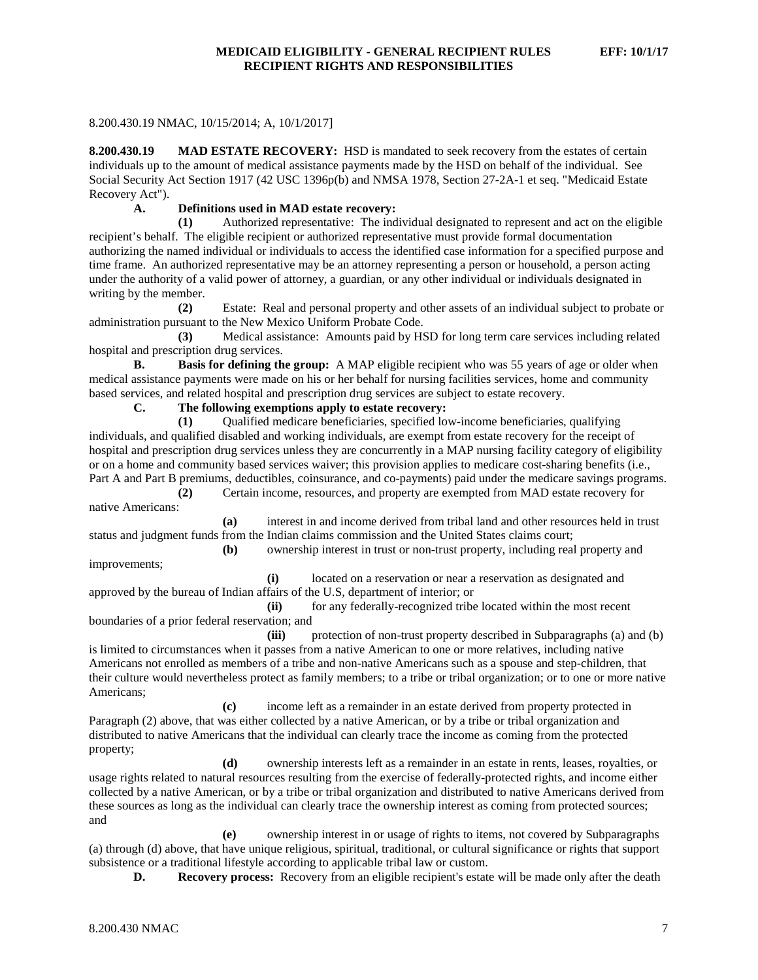## 8.200.430.19 NMAC, 10/15/2014; A, 10/1/2017]

**8.200.430.19 MAD ESTATE RECOVERY:** HSD is mandated to seek recovery from the estates of certain individuals up to the amount of medical assistance payments made by the HSD on behalf of the individual. See Social Security Act Section 1917 (42 USC 1396p(b) and NMSA 1978, Section 27-2A-1 et seq. "Medicaid Estate Recovery Act").

# **A. Definitions used in MAD estate recovery:**

**(1)** Authorized representative: The individual designated to represent and act on the eligible recipient's behalf. The eligible recipient or authorized representative must provide formal documentation authorizing the named individual or individuals to access the identified case information for a specified purpose and time frame. An authorized representative may be an attorney representing a person or household, a person acting under the authority of a valid power of attorney, a guardian, or any other individual or individuals designated in writing by the member.

**(2)** Estate: Real and personal property and other assets of an individual subject to probate or administration pursuant to the New Mexico Uniform Probate Code.

**(3)** Medical assistance: Amounts paid by HSD for long term care services including related hospital and prescription drug services.

**B. Basis for defining the group:** A MAP eligible recipient who was 55 years of age or older when medical assistance payments were made on his or her behalf for nursing facilities services, home and community based services, and related hospital and prescription drug services are subject to estate recovery.

**C. The following exemptions apply to estate recovery:**

**(1)** Qualified medicare beneficiaries, specified low-income beneficiaries, qualifying individuals, and qualified disabled and working individuals, are exempt from estate recovery for the receipt of hospital and prescription drug services unless they are concurrently in a MAP nursing facility category of eligibility or on a home and community based services waiver; this provision applies to medicare cost-sharing benefits (i.e., Part A and Part B premiums, deductibles, coinsurance, and co-payments) paid under the medicare savings programs.

**(2)** Certain income, resources, and property are exempted from MAD estate recovery for native Americans:

**(a)** interest in and income derived from tribal land and other resources held in trust status and judgment funds from the Indian claims commission and the United States claims court;

**(b)** ownership interest in trust or non-trust property, including real property and improvements;

**(i)** located on a reservation or near a reservation as designated and approved by the bureau of Indian affairs of the U.S, department of interior; or

**(ii)** for any federally-recognized tribe located within the most recent boundaries of a prior federal reservation; and

**(iii)** protection of non-trust property described in Subparagraphs (a) and (b) is limited to circumstances when it passes from a native American to one or more relatives, including native Americans not enrolled as members of a tribe and non-native Americans such as a spouse and step-children, that their culture would nevertheless protect as family members; to a tribe or tribal organization; or to one or more native Americans;

**(c)** income left as a remainder in an estate derived from property protected in Paragraph (2) above, that was either collected by a native American, or by a tribe or tribal organization and distributed to native Americans that the individual can clearly trace the income as coming from the protected property;

**(d)** ownership interests left as a remainder in an estate in rents, leases, royalties, or usage rights related to natural resources resulting from the exercise of federally-protected rights, and income either collected by a native American, or by a tribe or tribal organization and distributed to native Americans derived from these sources as long as the individual can clearly trace the ownership interest as coming from protected sources; and

**(e)** ownership interest in or usage of rights to items, not covered by Subparagraphs (a) through (d) above, that have unique religious, spiritual, traditional, or cultural significance or rights that support subsistence or a traditional lifestyle according to applicable tribal law or custom.

**D. Recovery process:** Recovery from an eligible recipient's estate will be made only after the death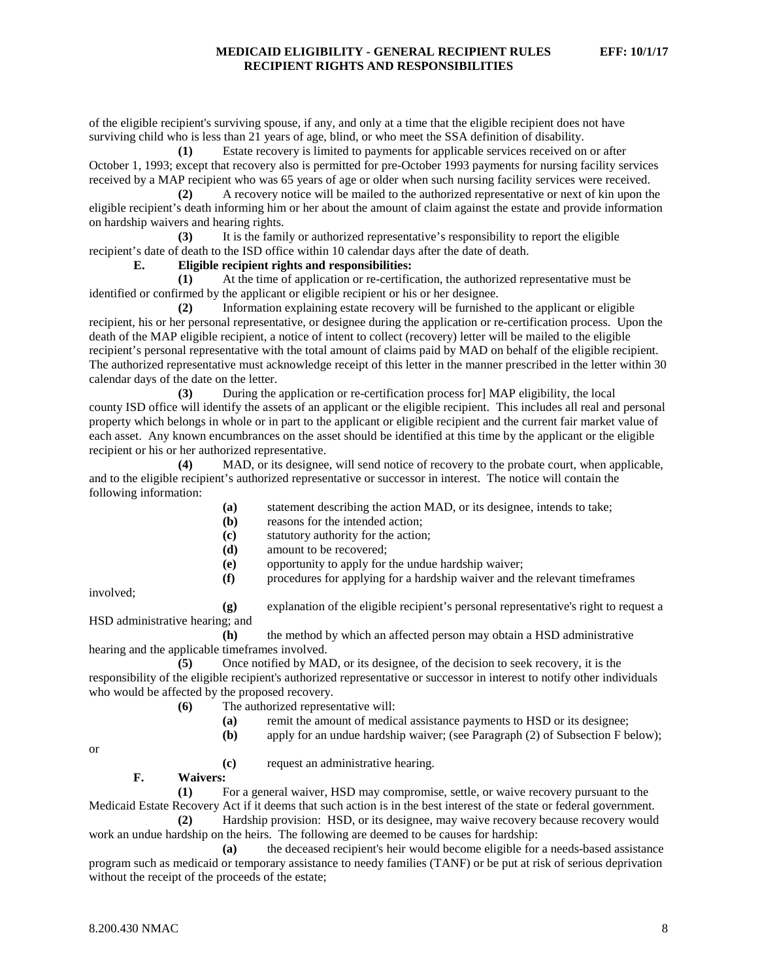of the eligible recipient's surviving spouse, if any, and only at a time that the eligible recipient does not have surviving child who is less than 21 years of age, blind, or who meet the SSA definition of disability.

**(1)** Estate recovery is limited to payments for applicable services received on or after October 1, 1993; except that recovery also is permitted for pre-October 1993 payments for nursing facility services received by a MAP recipient who was 65 years of age or older when such nursing facility services were received.

**(2)** A recovery notice will be mailed to the authorized representative or next of kin upon the eligible recipient's death informing him or her about the amount of claim against the estate and provide information on hardship waivers and hearing rights.

**(3)** It is the family or authorized representative's responsibility to report the eligible recipient's date of death to the ISD office within 10 calendar days after the date of death.

**E. Eligible recipient rights and responsibilities:**

**(1)** At the time of application or re-certification, the authorized representative must be identified or confirmed by the applicant or eligible recipient or his or her designee.

**(2)** Information explaining estate recovery will be furnished to the applicant or eligible recipient, his or her personal representative, or designee during the application or re-certification process. Upon the death of the MAP eligible recipient, a notice of intent to collect (recovery) letter will be mailed to the eligible recipient's personal representative with the total amount of claims paid by MAD on behalf of the eligible recipient. The authorized representative must acknowledge receipt of this letter in the manner prescribed in the letter within 30 calendar days of the date on the letter.

**(3)** During the application or re-certification process for] MAP eligibility, the local county ISD office will identify the assets of an applicant or the eligible recipient. This includes all real and personal property which belongs in whole or in part to the applicant or eligible recipient and the current fair market value of each asset. Any known encumbrances on the asset should be identified at this time by the applicant or the eligible recipient or his or her authorized representative.

**(4)** MAD, or its designee, will send notice of recovery to the probate court, when applicable, and to the eligible recipient's authorized representative or successor in interest. The notice will contain the following information:

- **(a)** statement describing the action MAD, or its designee, intends to take;
- **(b)** reasons for the intended action;
- **(c)** statutory authority for the action;
- **(d)** amount to be recovered;
- **(e)** opportunity to apply for the undue hardship waiver;
- **(f)** procedures for applying for a hardship waiver and the relevant timeframes

involved;

**(g)** explanation of the eligible recipient's personal representative's right to request a HSD administrative hearing; and

**(h)** the method by which an affected person may obtain a HSD administrative hearing and the applicable timeframes involved.

**(5)** Once notified by MAD, or its designee, of the decision to seek recovery, it is the responsibility of the eligible recipient's authorized representative or successor in interest to notify other individuals who would be affected by the proposed recovery.

- **(6)** The authorized representative will:
	- **(a)** remit the amount of medical assistance payments to HSD or its designee;
	- **(b)** apply for an undue hardship waiver; (see Paragraph (2) of Subsection F below);

or

**(c)** request an administrative hearing.

**F. Waivers:**

**(1)** For a general waiver, HSD may compromise, settle, or waive recovery pursuant to the Medicaid Estate Recovery Act if it deems that such action is in the best interest of the state or federal government.

**(2)** Hardship provision: HSD, or its designee, may waive recovery because recovery would work an undue hardship on the heirs. The following are deemed to be causes for hardship:

**(a)** the deceased recipient's heir would become eligible for a needs-based assistance program such as medicaid or temporary assistance to needy families (TANF) or be put at risk of serious deprivation without the receipt of the proceeds of the estate;